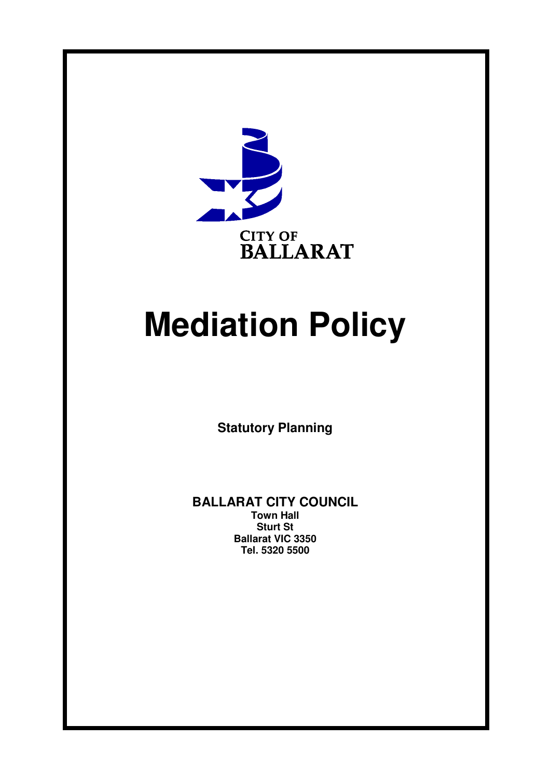

# **Mediation Policy**

**Statutory Planning** 

**BALLARAT CITY COUNCIL Town Hall Sturt St Ballarat VIC 3350 Tel. 5320 5500**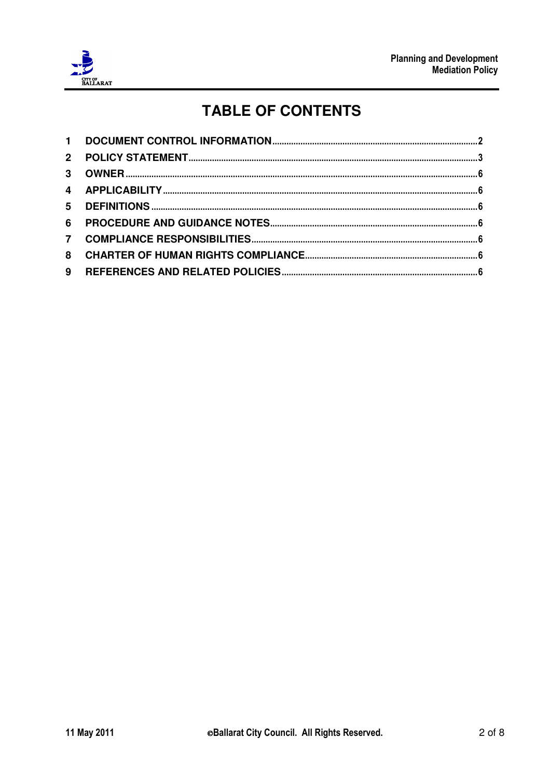

# **TABLE OF CONTENTS**

| $1 \quad$      |  |
|----------------|--|
| $2^{\circ}$    |  |
| 3              |  |
|                |  |
| 5              |  |
| 6              |  |
| $\overline{7}$ |  |
| 8              |  |
| 9              |  |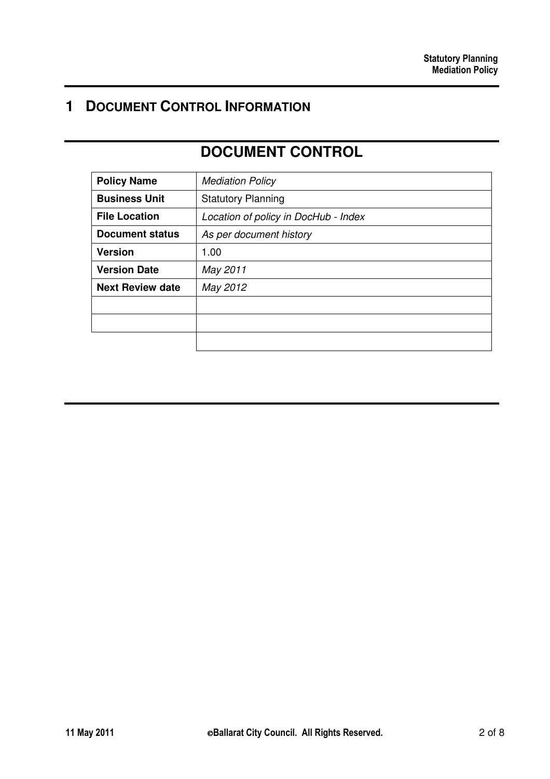## **1 DOCUMENT CONTROL INFORMATION**

# **DOCUMENT CONTROL**

| <b>Policy Name</b>      | <b>Mediation Policy</b>              |
|-------------------------|--------------------------------------|
| <b>Business Unit</b>    | <b>Statutory Planning</b>            |
| <b>File Location</b>    | Location of policy in DocHub - Index |
| <b>Document status</b>  | As per document history              |
| <b>Version</b>          | 1.00                                 |
| <b>Version Date</b>     | May 2011                             |
| <b>Next Review date</b> | May 2012                             |
|                         |                                      |
|                         |                                      |
|                         |                                      |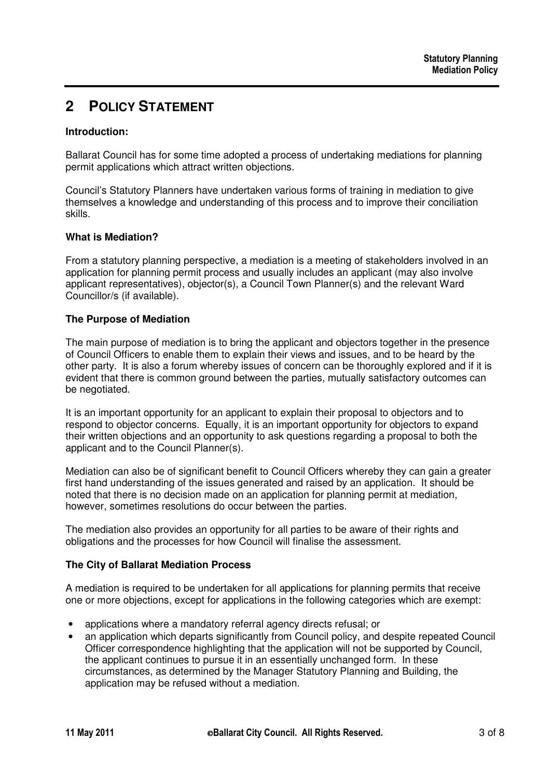## **2 POLICY STATEMENT**

#### **Introduction:**

Ballarat Council has for some time adopted a process of undertaking mediations for planning permit applications which attract written objections.

Council's Statutory Planners have undertaken various forms of training in mediation to give themselves a knowledge and understanding of this process and to improve their conciliation skills.

#### **What is Mediation?**

From a statutory planning perspective, a mediation is a meeting of stakeholders involved in an application for planning permit process and usually includes an applicant (may also involve applicant representatives), objector(s), a Council Town Planner(s) and the relevant Ward Councillor/s (if available).

#### **The Purpose of Mediation**

The main purpose of mediation is to bring the applicant and objectors together in the presence of Council Officers to enable them to explain their views and issues, and to be heard by the other party. It is also a forum whereby issues of concern can be thoroughly explored and if it is evident that there is common ground between the parties, mutually satisfactory outcomes can be negotiated.

It is an important opportunity for an applicant to explain their proposal to objectors and to respond to objector concerns. Equally, it is an important opportunity for objectors to expand their written objections and an opportunity to ask questions regarding a proposal to both the applicant and to the Council Planner(s).

Mediation can also be of significant benefit to Council Officers whereby they can gain a greater first hand understanding of the issues generated and raised by an application. It should be noted that there is no decision made on an application for planning permit at mediation, however, sometimes resolutions do occur between the parties.

The mediation also provides an opportunity for all parties to be aware of their rights and obligations and the processes for how Council will finalise the assessment.

#### **The City of Ballarat Mediation Process**

A mediation is required to be undertaken for all applications for planning permits that receive one or more objections, except for applications in the following categories which are exempt:

- applications where a mandatory referral agency directs refusal; or
- an application which departs significantly from Council policy, and despite repeated Council Officer correspondence highlighting that the application will not be supported by Council, the applicant continues to pursue it in an essentially unchanged form. In these circumstances, as determined by the Manager Statutory Planning and Building, the application may be refused without a mediation.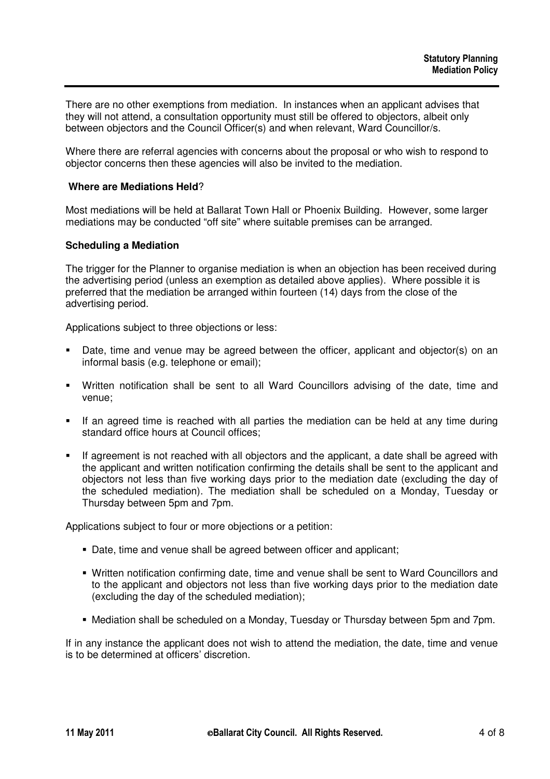There are no other exemptions from mediation. In instances when an applicant advises that they will not attend, a consultation opportunity must still be offered to objectors, albeit only between objectors and the Council Officer(s) and when relevant, Ward Councillor/s.

Where there are referral agencies with concerns about the proposal or who wish to respond to objector concerns then these agencies will also be invited to the mediation.

#### **Where are Mediations Held**?

Most mediations will be held at Ballarat Town Hall or Phoenix Building. However, some larger mediations may be conducted "off site" where suitable premises can be arranged.

#### **Scheduling a Mediation**

The trigger for the Planner to organise mediation is when an objection has been received during the advertising period (unless an exemption as detailed above applies). Where possible it is preferred that the mediation be arranged within fourteen (14) days from the close of the advertising period.

Applications subject to three objections or less:

- Date, time and venue may be agreed between the officer, applicant and objector(s) on an informal basis (e.g. telephone or email);
- Written notification shall be sent to all Ward Councillors advising of the date, time and venue;
- If an agreed time is reached with all parties the mediation can be held at any time during standard office hours at Council offices;
- If agreement is not reached with all objectors and the applicant, a date shall be agreed with the applicant and written notification confirming the details shall be sent to the applicant and objectors not less than five working days prior to the mediation date (excluding the day of the scheduled mediation). The mediation shall be scheduled on a Monday, Tuesday or Thursday between 5pm and 7pm.

Applications subject to four or more objections or a petition:

- Date, time and venue shall be agreed between officer and applicant;
- Written notification confirming date, time and venue shall be sent to Ward Councillors and to the applicant and objectors not less than five working days prior to the mediation date (excluding the day of the scheduled mediation);
- Mediation shall be scheduled on a Monday, Tuesday or Thursday between 5pm and 7pm.

If in any instance the applicant does not wish to attend the mediation, the date, time and venue is to be determined at officers' discretion.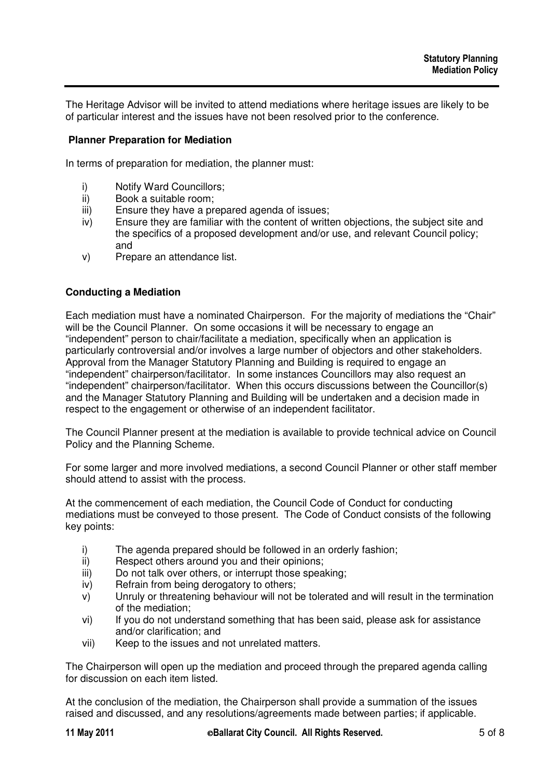The Heritage Advisor will be invited to attend mediations where heritage issues are likely to be of particular interest and the issues have not been resolved prior to the conference.

#### **Planner Preparation for Mediation**

In terms of preparation for mediation, the planner must:

- i) Notify Ward Councillors;<br>ii) Book a suitable room:
- Book a suitable room;
- iii) Ensure they have a prepared agenda of issues;
- iv) Ensure they are familiar with the content of written objections, the subject site and the specifics of a proposed development and/or use, and relevant Council policy; and
- v) Prepare an attendance list.

#### **Conducting a Mediation**

Each mediation must have a nominated Chairperson. For the majority of mediations the "Chair" will be the Council Planner. On some occasions it will be necessary to engage an "independent" person to chair/facilitate a mediation, specifically when an application is particularly controversial and/or involves a large number of objectors and other stakeholders. Approval from the Manager Statutory Planning and Building is required to engage an "independent" chairperson/facilitator. In some instances Councillors may also request an "independent" chairperson/facilitator. When this occurs discussions between the Councillor(s) and the Manager Statutory Planning and Building will be undertaken and a decision made in respect to the engagement or otherwise of an independent facilitator.

The Council Planner present at the mediation is available to provide technical advice on Council Policy and the Planning Scheme.

For some larger and more involved mediations, a second Council Planner or other staff member should attend to assist with the process.

At the commencement of each mediation, the Council Code of Conduct for conducting mediations must be conveyed to those present. The Code of Conduct consists of the following key points:

- i) The agenda prepared should be followed in an orderly fashion;
- ii) Respect others around you and their opinions:
- iii) Do not talk over others, or interrupt those speaking;
- iv) Refrain from being derogatory to others;
- v) Unruly or threatening behaviour will not be tolerated and will result in the termination of the mediation;
- vi) If you do not understand something that has been said, please ask for assistance and/or clarification; and
- vii) Keep to the issues and not unrelated matters.

The Chairperson will open up the mediation and proceed through the prepared agenda calling for discussion on each item listed.

At the conclusion of the mediation, the Chairperson shall provide a summation of the issues raised and discussed, and any resolutions/agreements made between parties; if applicable.